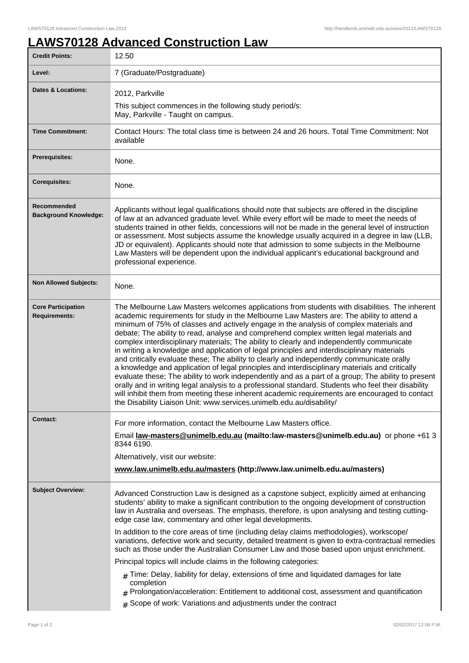## **LAWS70128 Advanced Construction Law**

| <b>Credit Points:</b>                             | 12.50                                                                                                                                                                                                                                                                                                                                                                                                                                                                                                                                                                                                                                                                                                                                                                                                                                                                                                                                                                                                                                                                                                                                                            |
|---------------------------------------------------|------------------------------------------------------------------------------------------------------------------------------------------------------------------------------------------------------------------------------------------------------------------------------------------------------------------------------------------------------------------------------------------------------------------------------------------------------------------------------------------------------------------------------------------------------------------------------------------------------------------------------------------------------------------------------------------------------------------------------------------------------------------------------------------------------------------------------------------------------------------------------------------------------------------------------------------------------------------------------------------------------------------------------------------------------------------------------------------------------------------------------------------------------------------|
| Level:                                            | 7 (Graduate/Postgraduate)                                                                                                                                                                                                                                                                                                                                                                                                                                                                                                                                                                                                                                                                                                                                                                                                                                                                                                                                                                                                                                                                                                                                        |
| <b>Dates &amp; Locations:</b>                     | 2012, Parkville<br>This subject commences in the following study period/s:<br>May, Parkville - Taught on campus.                                                                                                                                                                                                                                                                                                                                                                                                                                                                                                                                                                                                                                                                                                                                                                                                                                                                                                                                                                                                                                                 |
| <b>Time Commitment:</b>                           | Contact Hours: The total class time is between 24 and 26 hours. Total Time Commitment: Not<br>available                                                                                                                                                                                                                                                                                                                                                                                                                                                                                                                                                                                                                                                                                                                                                                                                                                                                                                                                                                                                                                                          |
| <b>Prerequisites:</b>                             | None.                                                                                                                                                                                                                                                                                                                                                                                                                                                                                                                                                                                                                                                                                                                                                                                                                                                                                                                                                                                                                                                                                                                                                            |
| <b>Corequisites:</b>                              | None.                                                                                                                                                                                                                                                                                                                                                                                                                                                                                                                                                                                                                                                                                                                                                                                                                                                                                                                                                                                                                                                                                                                                                            |
| Recommended<br><b>Background Knowledge:</b>       | Applicants without legal qualifications should note that subjects are offered in the discipline<br>of law at an advanced graduate level. While every effort will be made to meet the needs of<br>students trained in other fields, concessions will not be made in the general level of instruction<br>or assessment. Most subjects assume the knowledge usually acquired in a degree in law (LLB,<br>JD or equivalent). Applicants should note that admission to some subjects in the Melbourne<br>Law Masters will be dependent upon the individual applicant's educational background and<br>professional experience.                                                                                                                                                                                                                                                                                                                                                                                                                                                                                                                                         |
| <b>Non Allowed Subjects:</b>                      | None.                                                                                                                                                                                                                                                                                                                                                                                                                                                                                                                                                                                                                                                                                                                                                                                                                                                                                                                                                                                                                                                                                                                                                            |
| <b>Core Participation</b><br><b>Requirements:</b> | The Melbourne Law Masters welcomes applications from students with disabilities. The inherent<br>academic requirements for study in the Melbourne Law Masters are: The ability to attend a<br>minimum of 75% of classes and actively engage in the analysis of complex materials and<br>debate; The ability to read, analyse and comprehend complex written legal materials and<br>complex interdisciplinary materials; The ability to clearly and independently communicate<br>in writing a knowledge and application of legal principles and interdisciplinary materials<br>and critically evaluate these; The ability to clearly and independently communicate orally<br>a knowledge and application of legal principles and interdisciplinary materials and critically<br>evaluate these; The ability to work independently and as a part of a group; The ability to present<br>orally and in writing legal analysis to a professional standard. Students who feel their disability<br>will inhibit them from meeting these inherent academic requirements are encouraged to contact<br>the Disability Liaison Unit: www.services.unimelb.edu.au/disability/ |
| <b>Contact:</b>                                   | For more information, contact the Melbourne Law Masters office.<br>Email law-masters@unimelb.edu.au (mailto:law-masters@unimelb.edu.au) or phone +61 3<br>8344 6190.<br>Alternatively, visit our website:<br>www.law.unimelb.edu.au/masters (http://www.law.unimelb.edu.au/masters)                                                                                                                                                                                                                                                                                                                                                                                                                                                                                                                                                                                                                                                                                                                                                                                                                                                                              |
| <b>Subject Overview:</b>                          | Advanced Construction Law is designed as a capstone subject, explicitly aimed at enhancing<br>students' ability to make a significant contribution to the ongoing development of construction<br>law in Australia and overseas. The emphasis, therefore, is upon analysing and testing cutting-<br>edge case law, commentary and other legal developments.<br>In addition to the core areas of time (including delay claims methodologies), workscope/<br>variations, defective work and security, detailed treatment is given to extra-contractual remedies<br>such as those under the Australian Consumer Law and those based upon unjust enrichment.<br>Principal topics will include claims in the following categories:<br>$#$ Time: Delay, liability for delay, extensions of time and liquidated damages for late<br>completion<br>Prolongation/acceleration: Entitlement to additional cost, assessment and quantification<br>Scope of work: Variations and adjustments under the contract<br>#                                                                                                                                                          |